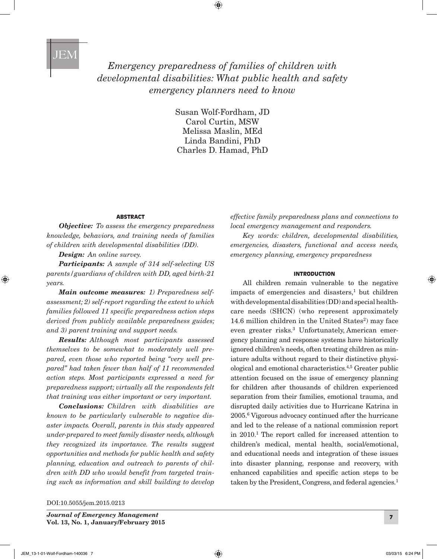

# *Emergency preparedness of families of children with developmental disabilities: What public health and safety emergency planners need to know*

 $\textcolor{black}{\textcircled{\tiny \#}}$ 

Susan Wolf-Fordham, JD Carol Curtin, MSW Melissa Maslin, MEd Linda Bandini, PhD Charles D. Hamad, PhD

### ABSTRACT

*Objective: To assess the emergency preparedness knowledge, behaviors, and training needs of families of children with developmental disabilities (DD).*

*Design: An online survey.*

⊕

*Participants: A sample of 314 self-selecting US parents/guardians of children with DD, aged birth-21 years.*

*Main outcome measures: 1) Preparedness selfassessment; 2) self-report regarding the extent to which families followed 11 specific preparedness action steps derived from publicly available preparedness guides; and 3) parent training and support needs.*

*Results: Although most participants assessed themselves to be somewhat to moderately well prepared, even those who reported being "very well prepared" had taken fewer than half of 11 recommended action steps. Most participants expressed a need for preparedness support; virtually all the respondents felt that training was either important or very important.*

*Conclusions: Children with disabilities are known to be particularly vulnerable to negative disaster impacts. Overall, parents in this study appeared under-prepared to meet family disaster needs, although they recognized its importance. The results suggest opportunities and methods for public health and safety planning, education and outreach to parents of children with DD who would benefit from targeted training such as information and skill building to develop* 

DOI:10.5055/jem.2015.0213

<sup>7</sup> *Journal of Emergency Management* Vol. 13, No. 1, January/February 2015

*effective family preparedness plans and connections to local emergency management and responders.*

*Key words: children, developmental disabilities, emergencies, disasters, functional and access needs, emergency planning, emergency preparedness*

### INTRODUCTION

All children remain vulnerable to the negative impacts of emergencies and disasters, $<sup>1</sup>$  but children</sup> with developmental disabilities (DD) and special healthcare needs (SHCN) (who represent approximately 14.6 million children in the United States $^2$ ) may face even greater risks.3 Unfortunately, American emergency planning and response systems have historically ignored children's needs, often treating children as miniature adults without regard to their distinctive physiological and emotional characteristics.4,5 Greater public attention focused on the issue of emergency planning for children after thousands of children experienced separation from their families, emotional trauma, and disrupted daily activities due to Hurricane Katrina in 2005.6 Vigorous advocacy continued after the hurricane and led to the release of a national commission report in 2010.1 The report called for increased attention to children's medical, mental health, social/emotional, and educational needs and integration of these issues into disaster planning, response and recovery, with enhanced capabilities and specific action steps to be taken by the President, Congress, and federal agencies.<sup>1</sup>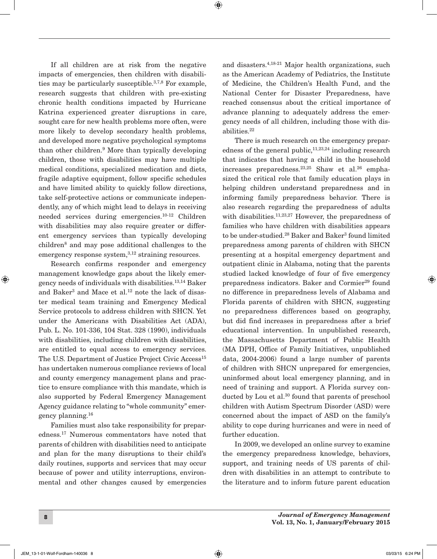If all children are at risk from the negative impacts of emergencies, then children with disabilities may be particularly susceptible.<sup>3,7,8</sup> For example, research suggests that children with pre-existing chronic health conditions impacted by Hurricane Katrina experienced greater disruptions in care, sought care for new health problems more often, were more likely to develop secondary health problems, and developed more negative psychological symptoms than other children.<sup>9</sup> More than typically developing children, those with disabilities may have multiple medical conditions, specialized medication and diets, fragile adaptive equipment, follow specific schedules and have limited ability to quickly follow directions, take self-protective actions or communicate independently, any of which might lead to delays in receiving needed services during emergencies.10-12 Children with disabilities may also require greater or different emergency services than typically developing children8 and may pose additional challenges to the emergency response system, $3,12$  straining resources.

Research confirms responder and emergency management knowledge gaps about the likely emergency needs of individuals with disabilities.13,14 Baker and Baker<sup>3</sup> and Mace et al.<sup>12</sup> note the lack of disaster medical team training and Emergency Medical Service protocols to address children with SHCN. Yet under the Americans with Disabilities Act (ADA), Pub. L. No. 101-336, 104 Stat. 328 (1990), individuals with disabilities, including children with disabilities, are entitled to equal access to emergency services. The U.S. Department of Justice Project Civic Access<sup>15</sup> has undertaken numerous compliance reviews of local and county emergency management plans and practice to ensure compliance with this mandate, which is also supported by Federal Emergency Management Agency guidance relating to "whole community" emergency planning.16

Families must also take responsibility for preparedness.17 Numerous commentators have noted that parents of children with disabilities need to anticipate and plan for the many disruptions to their child's daily routines, supports and services that may occur because of power and utility interruptions, environmental and other changes caused by emergencies

and disasters.4,18-21 Major health organizations, such as the American Academy of Pediatrics, the Institute of Medicine, the Children's Health Fund, and the National Center for Disaster Preparedness, have reached consensus about the critical importance of advance planning to adequately address the emergency needs of all children, including those with disabilities.22

 $\bigoplus$ 

There is much research on the emergency preparedness of the general public,  $11,23,24$  including research that indicates that having a child in the household increases preparedness.<sup>23,25</sup> Shaw et al.<sup>26</sup> emphasized the critical role that family education plays in helping children understand preparedness and in informing family preparedness behavior. There is also research regarding the preparedness of adults with disabilities.<sup>11,23,27</sup> However, the preparedness of families who have children with disabilities appears to be under-studied.<sup>28</sup> Baker and Baker<sup>3</sup> found limited preparedness among parents of children with SHCN presenting at a hospital emergency department and outpatient clinic in Alabama, noting that the parents studied lacked knowledge of four of five emergency preparedness indicators. Baker and Cormier<sup>29</sup> found no difference in preparedness levels of Alabama and Florida parents of children with SHCN, suggesting no preparedness differences based on geography, but did find increases in preparedness after a brief educational intervention. In unpublished research, the Massachusetts Department of Public Health (MA DPH, Office of Family Initiatives, unpublished data, 2004-2006) found a large number of parents of children with SHCN unprepared for emergencies, uninformed about local emergency planning, and in need of training and support. A Florida survey conducted by Lou et al.<sup>30</sup> found that parents of preschool children with Autism Spectrum Disorder (ASD) were concerned about the impact of ASD on the family's ability to cope during hurricanes and were in need of further education.

In 2009, we developed an online survey to examine the emergency preparedness knowledge, behaviors, support, and training needs of US parents of children with disabilities in an attempt to contribute to the literature and to inform future parent education

⊕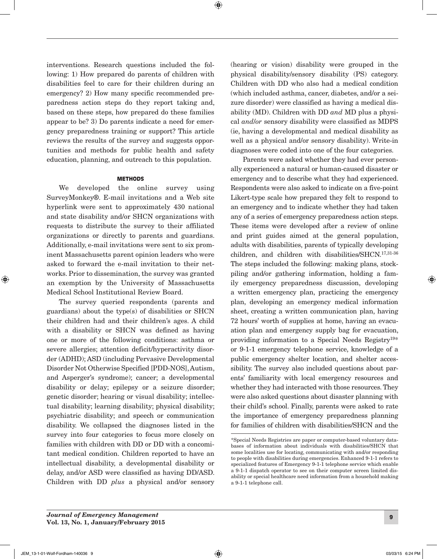⊕

interventions. Research questions included the following: 1) How prepared do parents of children with disabilities feel to care for their children during an emergency? 2) How many specific recommended preparedness action steps do they report taking and, based on these steps, how prepared do these families appear to be? 3) Do parents indicate a need for emergency preparedness training or support? This article reviews the results of the survey and suggests opportunities and methods for public health and safety education, planning, and outreach to this population.

### METHODS

We developed the online survey using SurveyMonkey®. E-mail invitations and a Web site hyperlink were sent to approximately 430 national and state disability and/or SHCN organizations with requests to distribute the survey to their affiliated organizations or directly to parents and guardians. Additionally, e-mail invitations were sent to six prominent Massachusetts parent opinion leaders who were asked to forward the e-mail invitation to their networks. Prior to dissemination, the survey was granted an exemption by the University of Massachusetts Medical School Institutional Review Board.

The survey queried respondents (parents and guardians) about the type(s) of disabilities or SHCN their children had and their children's ages. A child with a disability or SHCN was defined as having one or more of the following conditions: asthma or severe allergies; attention deficit/hyperactivity disorder (ADHD); ASD (including Pervasive Developmental Disorder Not Otherwise Specified [PDD-NOS], Autism, and Asperger's syndrome); cancer; a developmental disability or delay; epilepsy or a seizure disorder; genetic disorder; hearing or visual disability; intellectual disability; learning disability; physical disability; psychiatric disability; and speech or communication disability. We collapsed the diagnoses listed in the survey into four categories to focus more closely on families with children with DD or DD with a concomitant medical condition. Children reported to have an intellectual disability, a developmental disability or delay, and/or ASD were classified as having DD/ASD. Children with DD *plus* a physical and/or sensory

(hearing or vision) disability were grouped in the physical disability/sensory disability (PS) category. Children with DD who also had a medical condition (which included asthma, cancer, diabetes, and/or a seizure disorder) were classified as having a medical disability (MD). Children with DD *and* MD plus a physical *and*/*or* sensory disability were classified as MDPS (ie, having a developmental and medical disability as well as a physical and/or sensory disability). Write-in diagnoses were coded into one of the four categories.

Parents were asked whether they had ever personally experienced a natural or human-caused disaster or emergency and to describe what they had experienced. Respondents were also asked to indicate on a five-point Likert-type scale how prepared they felt to respond to an emergency and to indicate whether they had taken any of a series of emergency preparedness action steps. These items were developed after a review of online and print guides aimed at the general population, adults with disabilities, parents of typically developing children, and children with disabilities/SHCN.17,31-36 The steps included the following: making plans, stockpiling and/or gathering information, holding a family emergency preparedness discussion, developing a written emergency plan, practicing the emergency plan, developing an emergency medical information sheet, creating a written communication plan, having 72 hours' worth of supplies at home, having an evacuation plan and emergency supply bag for evacuation, providing information to a Special Needs Registry19\* or 9-1-1 emergency telephone service, knowledge of a public emergency shelter location, and shelter accessibility. The survey also included questions about parents' familiarity with local emergency resources and whether they had interacted with those resources. They were also asked questions about disaster planning with their child's school. Finally, parents were asked to rate the importance of emergency preparedness planning for families of children with disabilities/SHCN and the

⊕

<sup>\*</sup>Special Needs Registries are paper or computer-based voluntary databases of information about individuals with disabilities/SHCN that some localities use for locating, communicating with and/or responding to people with disabilities during emergencies. Enhanced 9-1-1 refers to specialized features of Emergency 9-1-1 telephone service which enable a 9-1-1 dispatch operator to see on their computer screen limited disability or special healthcare need information from a household making a 9-1-1 telephone call.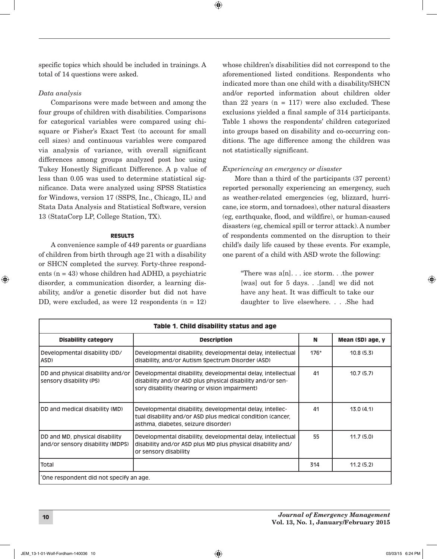specific topics which should be included in trainings. A total of 14 questions were asked.

## *Data analysis*

Comparisons were made between and among the four groups of children with disabilities. Comparisons for categorical variables were compared using chisquare or Fisher's Exact Test (to account for small cell sizes) and continuous variables were compared via analysis of variance, with overall significant differences among groups analyzed post hoc using Tukey Honestly Significant Difference. A p value of less than 0.05 was used to determine statistical significance. Data were analyzed using SPSS Statistics for Windows, version 17 (SSPS, Inc., Chicago, IL) and Stata Data Analysis and Statistical Software, version 13 (StataCorp LP, College Station, TX).

### RESULTS

A convenience sample of 449 parents or guardians of children from birth through age 21 with a disability or SHCN completed the survey. Forty-three respondents (n = 43) whose children had ADHD, a psychiatric disorder, a communication disorder, a learning disability, and/or a genetic disorder but did not have DD, were excluded, as were  $12$  respondents  $(n = 12)$  whose children's disabilities did not correspond to the aforementioned listed conditions. Respondents who indicated more than one child with a disability/SHCN and/or reported information about children older than 22 years  $(n = 117)$  were also excluded. These exclusions yielded a final sample of 314 participants. Table 1 shows the respondents' children categorized into groups based on disability and co-occurring conditions. The age difference among the children was not statistically significant.

### *Experiencing an emergency or disaster*

More than a third of the participants (37 percent) reported personally experiencing an emergency, such as weather-related emergencies (eg, blizzard, hurricane, ice storm, and tornadoes), other natural disasters (eg, earthquake, flood, and wildfire), or human-caused disasters (eg, chemical spill or terror attack). A number of respondents commented on the disruption to their child's daily life caused by these events. For example, one parent of a child with ASD wrote the following:

"There was  $a[n]$ ... ice storm... the power [was] out for 5 days. . .[and] we did not have any heat. It was difficult to take our daughter to live elsewhere. . . .She had

| Table 1. Child disability status and age                           |                                                                                                                                                                             |        |                  |
|--------------------------------------------------------------------|-----------------------------------------------------------------------------------------------------------------------------------------------------------------------------|--------|------------------|
| <b>Disability category</b>                                         | <b>Description</b>                                                                                                                                                          | N      | Mean (SD) age, y |
| Developmental disability (DD/<br>ASD)                              | Developmental disability, developmental delay, intellectual<br>disability, and/or Autism Spectrum Disorder (ASD)                                                            | $176*$ | 10.8(5.3)        |
| DD and physical disability and/or<br>sensory disability (PS)       | Developmental disability, developmental delay, intellectual<br>disability and/or ASD plus physical disability and/or sen-<br>sory disability (hearing or vision impairment) | 41     | 10.7(5.7)        |
| DD and medical disability (MD)                                     | Developmental disability, developmental delay, intellec-<br>tual disability and/or ASD plus medical condition (cancer,<br>asthma, diabetes, seizure disorder)               | 41     | 13.0(4.1)        |
| DD and MD, physical disability<br>and/or sensory disability (MDPS) | Developmental disability, developmental delay, intellectual<br>disability and/or ASD plus MD plus physical disability and/<br>or sensory disability                         | 55     | 11.7(5.0)        |
| Total                                                              |                                                                                                                                                                             | 314    | 11.2(5.2)        |
| 'One respondent did not specify an age.                            |                                                                                                                                                                             |        |                  |

 $\bigoplus$ 

⊕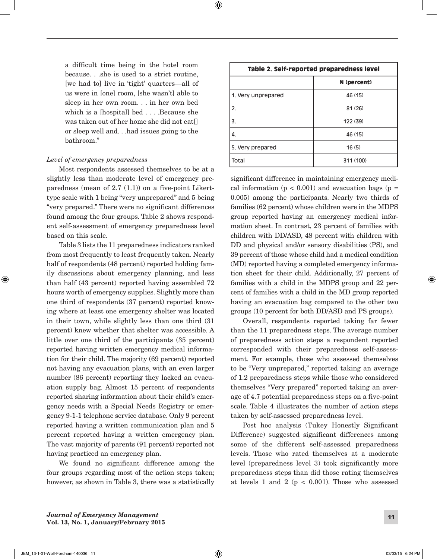$\bigoplus$ 

a difficult time being in the hotel room because. . .she is used to a strict routine, [we had to] live in 'tight' quarters—all of us were in [one] room, [she wasn't] able to sleep in her own room. . . in her own bed which is a [hospital] bed . . . .Because she was taken out of her home she did not eat[] or sleep well and. . .had issues going to the bathroom."

## *Level of emergency preparedness*

Most respondents assessed themselves to be at a slightly less than moderate level of emergency preparedness (mean of  $2.7(1.1)$ ) on a five-point Likerttype scale with 1 being "very unprepared" and 5 being "very prepared." There were no significant differences found among the four groups. Table 2 shows respondent self-assessment of emergency preparedness level based on this scale.

Table 3 lists the 11 preparedness indicators ranked from most frequently to least frequently taken. Nearly half of respondents (48 percent) reported holding family discussions about emergency planning, and less than half (43 percent) reported having assembled 72 hours worth of emergency supplies. Slightly more than one third of respondents (37 percent) reported knowing where at least one emergency shelter was located in their town, while slightly less than one third (31 percent) knew whether that shelter was accessible. A little over one third of the participants (35 percent) reported having written emergency medical information for their child. The majority (69 percent) reported not having any evacuation plans, with an even larger number (86 percent) reporting they lacked an evacuation supply bag. Almost 15 percent of respondents reported sharing information about their child's emergency needs with a Special Needs Registry or emergency 9-1-1 telephone service database. Only 9 percent reported having a written communication plan and 5 percent reported having a written emergency plan. The vast majority of parents (91 percent) reported not having practiced an emergency plan.

We found no significant difference among the four groups regarding most of the action steps taken; however, as shown in Table 3, there was a statistically

| Table 2. Self-reported preparedness level |             |  |
|-------------------------------------------|-------------|--|
|                                           | N (percent) |  |
| 1. Very unprepared                        | 46 (15)     |  |
| 2.                                        | 81 (26)     |  |
| $\vert$ 3.                                | 122 (39)    |  |
| 14.                                       | 46 (15)     |  |
| 5. Very prepared                          | 16(5)       |  |
| l Total                                   | 311 (100)   |  |

significant difference in maintaining emergency medical information  $(p < 0.001)$  and evacuation bags  $(p =$ 0.005) among the participants. Nearly two thirds of families (62 percent) whose children were in the MDPS group reported having an emergency medical information sheet. In contrast, 23 percent of families with children with DD/ASD, 48 percent with children with DD and physical and/or sensory disabilities (PS), and 39 percent of those whose child had a medical condition (MD) reported having a completed emergency information sheet for their child. Additionally, 27 percent of families with a child in the MDPS group and 22 percent of families with a child in the MD group reported having an evacuation bag compared to the other two groups (10 percent for both DD/ASD and PS groups).

Overall, respondents reported taking far fewer than the 11 preparedness steps. The average number of preparedness action steps a respondent reported corresponded with their preparedness self-assessment. For example, those who assessed themselves to be "Very unprepared," reported taking an average of 1.2 preparedness steps while those who considered themselves "Very prepared" reported taking an average of 4.7 potential preparedness steps on a five-point scale. Table 4 illustrates the number of action steps taken by self-assessed preparedness level.

Post hoc analysis (Tukey Honestly Significant Difference) suggested significant differences among some of the different self-assessed preparedness levels. Those who rated themselves at a moderate level (preparedness level 3) took significantly more preparedness steps than did those rating themselves at levels 1 and 2 ( $p < 0.001$ ). Those who assessed

JEM\_13-1-01-Wolf-Fordham-140036 11 03/03/15 6:24 PM

⊕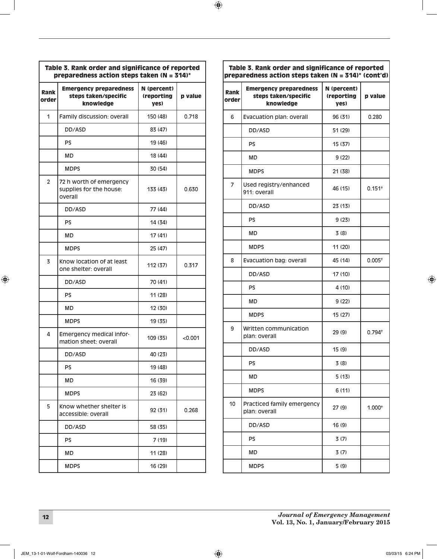| Table 3. Rank order and significance of reported<br>preparedness action steps taken ( $N = 314$ )* |                                                                    |                                   |         |
|----------------------------------------------------------------------------------------------------|--------------------------------------------------------------------|-----------------------------------|---------|
| Rank<br>order                                                                                      | <b>Emergency preparedness</b><br>steps taken/specific<br>knowledge | N (percent)<br>(reporting<br>yes) | p value |
| 1                                                                                                  | Family discussion: overall                                         | 150 (48)                          | 0.718   |
|                                                                                                    | DD/ASD                                                             | 83 (47)                           |         |
|                                                                                                    | <b>PS</b>                                                          | 19 (46)                           |         |
|                                                                                                    | MD                                                                 | 18 (44)                           |         |
|                                                                                                    | <b>MDPS</b>                                                        | 30 (54)                           |         |
| $\overline{2}$                                                                                     | 72 h worth of emergency<br>supplies for the house:<br>overall      | 133 (43)                          | 0.630   |
|                                                                                                    | DD/ASD                                                             | 77 (44)                           |         |
|                                                                                                    | <b>PS</b>                                                          | 14 (34)                           |         |
|                                                                                                    | <b>MD</b>                                                          | 17 (41)                           |         |
|                                                                                                    | <b>MDPS</b>                                                        | 25 (47)                           |         |
| 3                                                                                                  | Know location of at least<br>one shelter: overall                  | 112 (37)                          | 0.317   |
|                                                                                                    | DD/ASD                                                             | 70 (41)                           |         |
|                                                                                                    | <b>PS</b>                                                          | 11 (28)                           |         |
|                                                                                                    | MD                                                                 | 12 (30)                           |         |
|                                                                                                    | <b>MDPS</b>                                                        | 19 (35)                           |         |
| 4                                                                                                  | Emergency medical infor-<br>mation sheet: overall                  | 109 (35)                          | < 0.001 |
|                                                                                                    | DD/ASD                                                             | 40 (23)                           |         |
|                                                                                                    | PS                                                                 | 19 (48)                           |         |
|                                                                                                    | MD                                                                 | 16 (39)                           |         |
|                                                                                                    | <b>MDPS</b>                                                        | 23 (62)                           |         |
| 5                                                                                                  | Know whether shelter is<br>accessible: overall                     | 92 (31)                           | 0.268   |
|                                                                                                    | DD/ASD                                                             | 58 (35)                           |         |
|                                                                                                    | <b>PS</b>                                                          | 7 (19)                            |         |
|                                                                                                    | MD                                                                 | 11 (28)                           |         |
|                                                                                                    | <b>MDPS</b>                                                        | 16 (29)                           |         |

| preparedness action steps taken (N = 314)* (cont'd) |                                                                    |                                   |             |
|-----------------------------------------------------|--------------------------------------------------------------------|-----------------------------------|-------------|
| Rank<br>order                                       | <b>Emergency preparedness</b><br>steps taken/specific<br>knowledge | N (percent)<br>(reporting<br>yes) | p value     |
| 6                                                   | Evacuation plan: overall                                           | 96 (31)                           | 0.280       |
|                                                     | DD/ASD                                                             | 51 (29)                           |             |
|                                                     | PS                                                                 | 15 (37)                           |             |
|                                                     | MD                                                                 | 9(22)                             |             |
|                                                     | <b>MDPS</b>                                                        | 21 (38)                           |             |
| $\overline{7}$                                      | Used registry/enhanced<br>911: overall                             | 46 (15)                           | $0.151^{+}$ |
|                                                     | DD/ASD                                                             | 23 (13)                           |             |
|                                                     | PS                                                                 | 9(23)                             |             |
|                                                     | MD                                                                 | 3(8)                              |             |
|                                                     | <b>MDPS</b>                                                        | 11 (20)                           |             |
| 8                                                   | Evacuation bag: overall                                            | 45 (14)                           | $0.005^{+}$ |
|                                                     | DD/ASD                                                             | 17 (10)                           |             |
|                                                     | PS                                                                 | 4 (10)                            |             |
|                                                     | MD                                                                 | 9 (22)                            |             |
|                                                     | <b>MDPS</b>                                                        | 15 (27)                           |             |
| 9                                                   | Written communication<br>plan: overall                             | 29(9)                             | $0.794^{+}$ |
|                                                     | DD/ASD                                                             | 15(9)                             |             |
|                                                     | PS                                                                 | 3(8)                              |             |
|                                                     | MD                                                                 | 5(13)                             |             |
|                                                     | <b>MDPS</b>                                                        | 6 (11)                            |             |
| 10                                                  | Practiced family emergency<br>plan: overall                        | 27 (9)                            | $1.000+$    |
|                                                     | DD/ASD                                                             | 16 (9)                            |             |
|                                                     | PS                                                                 | 3(7)                              |             |
|                                                     | MD                                                                 | 3(7)                              |             |
|                                                     | <b>MDPS</b>                                                        | 5(9)                              |             |

Table 3. Rank order and significance of reported

<sup>12</sup> *Journal of Emergency Management* Vol. 13, No. 1, January/February 2015

 $\bigoplus$ 

 $\bigoplus$ 

 $\bigoplus$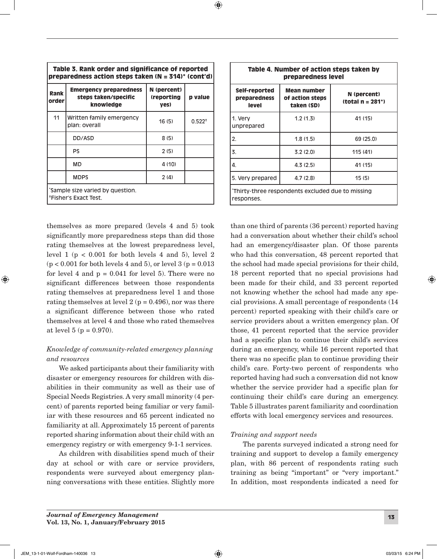| Table 3. Rank order and significance of reported<br>preparedness action steps taken $(N = 314)^*$ (cont'd) |                                                                    |                                   |             |
|------------------------------------------------------------------------------------------------------------|--------------------------------------------------------------------|-----------------------------------|-------------|
| Rank<br>order                                                                                              | <b>Emergency preparedness</b><br>steps taken/specific<br>knowledge | N (percent)<br>(reporting<br>yes) | p value     |
| 11                                                                                                         | Written family emergency<br>plan: overall                          | 16(5)                             | $0.522^{+}$ |
|                                                                                                            | DD/ASD                                                             | 8(5)                              |             |
|                                                                                                            | <b>PS</b>                                                          | 2(5)                              |             |
|                                                                                                            | <b>MD</b>                                                          | 4(10)                             |             |
|                                                                                                            | <b>MDPS</b>                                                        | 2(4)                              |             |
| sample size varied by question."<br><sup>+</sup> Fisher's Exact Test.                                      |                                                                    |                                   |             |

 $\bigoplus$ 

themselves as more prepared (levels 4 and 5) took significantly more preparedness steps than did those rating themselves at the lowest preparedness level, level  $1$  ( $p < 0.001$  for both levels  $4$  and  $5$ ), level  $2$  $(p < 0.001$  for both levels 4 and 5), or level 3  $(p = 0.013$ for level 4 and  $p = 0.041$  for level 5). There were no significant differences between those respondents rating themselves at preparedness level 1 and those rating themselves at level  $2(p = 0.496)$ , nor was there a significant difference between those who rated themselves at level 4 and those who rated themselves at level  $5 (p = 0.970)$ .

# *Knowledge of community-related emergency planning and resources*

We asked participants about their familiarity with disaster or emergency resources for children with disabilities in their community as well as their use of Special Needs Registries. A very small minority (4 percent) of parents reported being familiar or very familiar with these resources and 65 percent indicated no familiarity at all. Approximately 15 percent of parents reported sharing information about their child with an emergency registry or with emergency 9-1-1 services.

As children with disabilities spend much of their day at school or with care or service providers, respondents were surveyed about emergency planning conversations with these entities. Slightly more

| Table 4. Number of action steps taken by<br>preparedness level  |                                              |                                 |  |
|-----------------------------------------------------------------|----------------------------------------------|---------------------------------|--|
| Self-reported<br>preparedness<br><b>level</b>                   | Mean number<br>of action steps<br>taken (SD) | N (percent)<br>$total n = 281*$ |  |
| 1. Very<br>unprepared                                           | 1.2(1.3)                                     | 41 (15)                         |  |
| 2.                                                              | 1.8(1.5)                                     | 69(25.0)                        |  |
| 3.                                                              | 3.2(2.0)                                     | 115(41)                         |  |
| 4.                                                              | 4.3(2.5)                                     | 41 (15)                         |  |
| 5. Very prepared                                                | 4.7(2.8)                                     | 15(5)                           |  |
| *Thirty-three respondents excluded due to missing<br>responses. |                                              |                                 |  |

than one third of parents (36 percent) reported having had a conversation about whether their child's school had an emergency/disaster plan. Of those parents who had this conversation, 48 percent reported that the school had made special provisions for their child, 18 percent reported that no special provisions had been made for their child, and 33 percent reported not knowing whether the school had made any special provisions. A small percentage of respondents (14 percent) reported speaking with their child's care or service providers about a written emergency plan. Of those, 41 percent reported that the service provider had a specific plan to continue their child's services during an emergency, while 16 percent reported that there was no specific plan to continue providing their child's care. Forty-two percent of respondents who reported having had such a conversation did not know whether the service provider had a specific plan for continuing their child's care during an emergency. Table 5 illustrates parent familiarity and coordination efforts with local emergency services and resources.

## *Training and support needs*

The parents surveyed indicated a strong need for training and support to develop a family emergency plan, with 86 percent of respondents rating such training as being "important" or "very important." In addition, most respondents indicated a need for

⊕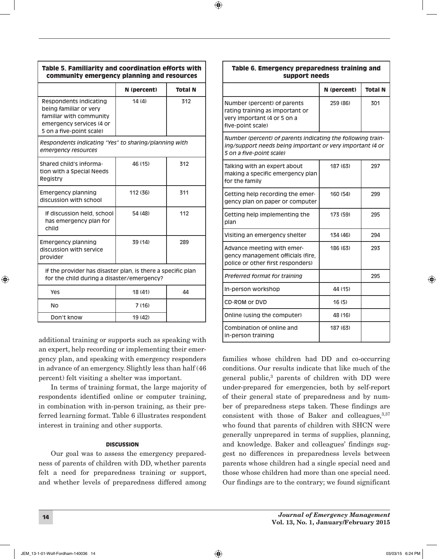| Table 5. Familiarity and coordination efforts with<br>community emergency planning and resources                                    |             |                |  |  |
|-------------------------------------------------------------------------------------------------------------------------------------|-------------|----------------|--|--|
|                                                                                                                                     | N (percent) | <b>Total N</b> |  |  |
| Respondents indicating<br>being familiar or very<br>familiar with community<br>emergency services (4 or<br>5 on a five-point scale) | 14(4)       | 312            |  |  |
| Respondents indicating "Yes" to sharing/planning with<br>emergency resources                                                        |             |                |  |  |
| Shared child's informa-<br>tion with a Special Needs<br>Registry                                                                    | 46 (15)     | 312            |  |  |
| <b>Emergency planning</b><br>discussion with school                                                                                 | 112(36)     | 311            |  |  |
| If discussion held, school<br>has emergency plan for<br>child                                                                       | 54 (48)     | 112            |  |  |
| <b>Emergency planning</b><br>discussion with service<br>provider                                                                    | 39 (14)     | 289            |  |  |
| If the provider has disaster plan, is there a specific plan<br>for the child during a disaster/emergency?                           |             |                |  |  |
| Yes                                                                                                                                 | 18 (41)     | 44             |  |  |
| No                                                                                                                                  | 7(16)       |                |  |  |
| Don't know                                                                                                                          | 19 (42)     |                |  |  |

additional training or supports such as speaking with an expert, help recording or implementing their emergency plan, and speaking with emergency responders in advance of an emergency. Slightly less than half (46 percent) felt visiting a shelter was important.

In terms of training format, the large majority of respondents identified online or computer training, in combination with in-person training, as their preferred learning format. Table 6 illustrates respondent interest in training and other supports.

### DISCUSSION

Our goal was to assess the emergency preparedness of parents of children with DD, whether parents felt a need for preparedness training or support, and whether levels of preparedness differed among

| Table 6. Emergency preparedness training and<br>support needs                                                                                        |             |                |  |
|------------------------------------------------------------------------------------------------------------------------------------------------------|-------------|----------------|--|
|                                                                                                                                                      | N (percent) | <b>Total N</b> |  |
| Number (percent) of parents<br>rating training as important or<br>very important (4 or 5 on a<br>five-point scale)                                   | 259 (86)    | 301            |  |
| Number (percent) of parents indicating the following train-<br>ing/support needs being important or very important (4 or<br>5 on a five-point scale) |             |                |  |
| Talking with an expert about<br>making a specific emergency plan<br>for the family                                                                   | 187 (63)    | 297            |  |
| Getting help recording the emer-<br>gency plan on paper or computer                                                                                  | 160 (54)    | 299            |  |
| Getting help implementing the<br>plan                                                                                                                | 173 (59)    | 295            |  |
| Visiting an emergency shelter                                                                                                                        | 134 (46)    | 294            |  |
| Advance meeting with emer-<br>gency management officials (fire,<br>police or other first responders)                                                 | 186 (63)    | 293            |  |
| Preferred format for training                                                                                                                        |             | 295            |  |
| In-person workshop                                                                                                                                   | 44 (15)     |                |  |
| CD-ROM or DVD                                                                                                                                        | 16(5)       |                |  |
| Online (using the computer)                                                                                                                          | 48 (16)     |                |  |
| Combination of online and<br>in-person training                                                                                                      | 187 (63)    |                |  |

families whose children had DD and co-occurring conditions. Our results indicate that like much of the general public,<sup>3</sup> parents of children with DD were under-prepared for emergencies, both by self-report of their general state of preparedness and by number of preparedness steps taken. These findings are consistent with those of Baker and colleagues, 3,37 who found that parents of children with SHCN were generally unprepared in terms of supplies, planning, and knowledge. Baker and colleagues' findings suggest no differences in preparedness levels between parents whose children had a single special need and those whose children had more than one special need. Our findings are to the contrary; we found significant

 $\textcircled{\scriptsize{+}}$ 

<sup>14</sup> *Journal of Emergency Management* Vol. 13, No. 1, January/February 2015 ⊕

 $\bigoplus$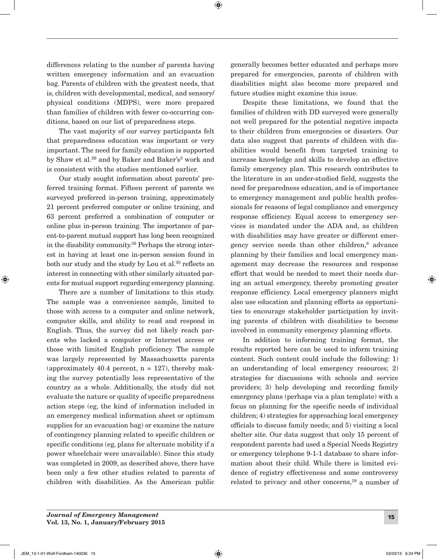differences relating to the number of parents having written emergency information and an evacuation bag. Parents of children with the greatest needs, that is, children with developmental, medical, and sensory/ physical conditions (MDPS), were more prepared than families of children with fewer co-occurring conditions, based on our list of preparedness steps.

 $\bigoplus$ 

The vast majority of our survey participants felt that preparedness education was important or very important. The need for family education is supported by Shaw et al.<sup>26</sup> and by Baker and Baker's<sup>3</sup> work and is consistent with the studies mentioned earlier.

Our study sought information about parents' preferred training format. Fifteen percent of parents we surveyed preferred in-person training, approximately 21 percent preferred computer or online training, and 63 percent preferred a combination of computer or online plus in-person training. The importance of parent-to-parent mutual support has long been recognized in the disability community.38 Perhaps the strong interest in having at least one in-person session found in both our study and the study by Lou et al.<sup>30</sup> reflects an interest in connecting with other similarly situated parents for mutual support regarding emergency planning.

There are a number of limitations to this study. The sample was a convenience sample, limited to those with access to a computer and online network, computer skills, and ability to read and respond in English. Thus, the survey did not likely reach parents who lacked a computer or Internet access or those with limited English proficiency. The sample was largely represented by Massachusetts parents (approximately 40.4 percent,  $n = 127$ ), thereby making the survey potentially less representative of the country as a whole. Additionally, the study did not evaluate the nature or quality of specific preparedness action steps (eg, the kind of information included in an emergency medical information sheet or optimum supplies for an evacuation bag) or examine the nature of contingency planning related to specific children or specific conditions (eg, plans for alternate mobility if a power wheelchair were unavailable). Since this study was completed in 2009, as described above, there have been only a few other studies related to parents of children with disabilities. As the American public generally becomes better educated and perhaps more prepared for emergencies, parents of children with disabilities might also become more prepared and future studies might examine this issue.

Despite these limitations, we found that the families of children with DD surveyed were generally not well prepared for the potential negative impacts to their children from emergencies or disasters. Our data also suggest that parents of children with disabilities would benefit from targeted training to increase knowledge and skills to develop an effective family emergency plan. This research contributes to the literature in an under-studied field, suggests the need for preparedness education, and is of importance to emergency management and public health professionals for reasons of legal compliance and emergency response efficiency. Equal access to emergency services is mandated under the ADA and, as children with disabilities may have greater or different emergency service needs than other children,8 advance planning by their families and local emergency management may decrease the resources and response effort that would be needed to meet their needs during an actual emergency, thereby promoting greater response efficiency. Local emergency planners might also use education and planning efforts as opportunities to encourage stakeholder participation by inviting parents of children with disabilities to become involved in community emergency planning efforts.

In addition to informing training format, the results reported here can be used to inform training content. Such content could include the following: 1) an understanding of local emergency resources; 2) strategies for discussions with schools and service providers; 3) help developing and recording family emergency plans (perhaps via a plan template) with a focus on planning for the specific needs of individual children; 4) strategies for approaching local emergency officials to discuss family needs; and 5) visiting a local shelter site. Our data suggest that only 15 percent of respondent parents had used a Special Needs Registry or emergency telephone 9-1-1 database to share information about their child. While there is limited evidence of registry effectiveness and some controversy related to privacy and other concerns,<sup>19</sup> a number of

⊕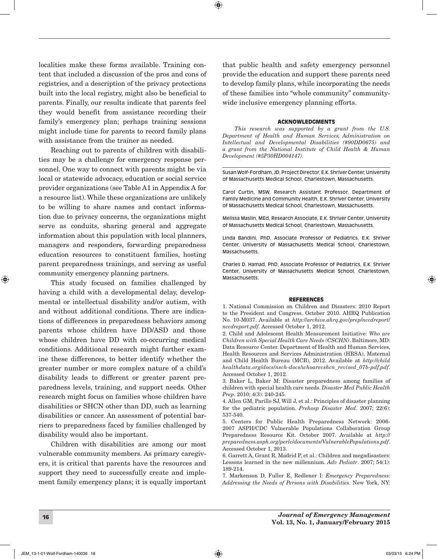localities make these forms available. Training content that included a discussion of the pros and cons of registries, and a description of the privacy protections built into the local registry, might also be beneficial to parents. Finally, our results indicate that parents feel they would benefit from assistance recording their family's emergency plan; perhaps training sessions might include time for parents to record family plans with assistance from the trainer as needed.

Reaching out to parents of children with disabilities may be a challenge for emergency response personnel. One way to connect with parents might be via local or statewide advocacy, education or social service provider organizations (see Table A1 in Appendix A for a resource list). While these organizations are unlikely to be willing to share names and contact information due to privacy concerns, the organizations might serve as conduits, sharing general and aggregate information about this population with local planners, managers and responders, forwarding preparedness education resources to constituent families, hosting parent preparedness trainings, and serving as useful community emergency planning partners.

This study focused on families challenged by having a child with a developmental delay, developmental or intellectual disability and/or autism, with and without additional conditions. There are indications of differences in preparedness behaviors among parents whose children have DD/ASD and those whose children have DD with co-occurring medical conditions. Additional research might further examine these differences, to better identify whether the greater number or more complex nature of a child's disability leads to different or greater parent preparedness levels, training, and support needs. Other research might focus on families whose children have disabilities or SHCN other than DD, such as learning disabilities or cancer. An assessment of potential barriers to preparedness faced by families challenged by disability would also be important.

Children with disabilities are among our most vulnerable community members. As primary caregivers, it is critical that parents have the resources and support they need to successfully create and implement family emergency plans; it is equally important that public health and safety emergency personnel provide the education and support these parents need to develop family plans, while incorporating the needs of these families into "whole community" communitywide inclusive emergency planning efforts.

⊕

#### ACKNOWLEDGMENTS

*This research was supported by a grant from the U.S. Department of Health and Human Services, Administration on Intellectual and Developmental Disabilities (#90DD0675) and a grant from the National Institute of Child Health & Human Development (#5P30HD004147).*

Susan Wolf-Fordham, JD, Project Director, E.K. Shriver Center, University of Massachusetts Medical School, Charlestown, Massachusetts.

Carol Curtin, MSW, Research Assistant Professor, Department of Family Medicine and Community Health, E.K. Shriver Center, University of Massachusetts Medical School, Charlestown, Massachusetts.

Melissa Maslin, MEd, Research Associate, E.K. Shriver Center, University of Massachusetts Medical School, Charlestown, Massachusetts.

Linda Bandini, PhD, Associate Professor of Pediatrics, E.K. Shriver Center, University of Massachusetts Medical School, Charlestown, Massachusetts.

Charles D. Hamad, PhD, Associate Professor of Pediatrics, E.K. Shriver Center, University of Massachusetts Medical School, Charlestown, Massachusetts.

#### REFERENCES

1. National Commission on Children and Disasters: 2010 Report to the President and Congress. October 2010. AHRQ Publication No. 10-M037. Available at *http:*//*archive.ahrq.gov*/*prep*/*nccdreport*/ *nccdreport.pdf*. Accessed October 1, 2012.

2. Child and Adolescent Health Measurement Initiative: *Who are Children with Special Health Care Needs (CSCHN)*. Baltimore, MD: Data Resource Center. Department of Health and Human Services, Health Resources and Services Administration (HRSA), Maternal and Child Health Bureau (MCB), 2012. Available at *http:*//*child healthdata.org*/*docs*/*nsch-docs*/*whoarecshcn\_revised\_07b-pdf.pdf*. Accessed October 1, 2012.

3. Baker L, Baker M: Disaster preparedness among families of children with special health care needs. *Disaster Med Public Health Prep*. 2010; 4(3): 240-245.

4. Allen GM, Parillo SJ, Will J, et al.: Principles of disaster planning for the pediatric population. *Prehosp Disaster Med*. 2007; 22(6): 537-540.

5. Centers for Public Health Preparedness Network: 2006- 2007 ASPH/CDC Vulnerable Populations Collaboration Group Preparedness Resource Kit. October 2007. Available at *http:*// *preparedness.asph.org*/*perlc*/*documents*/*VulnerablePopulations.pdf*. Accessed October 1, 2013.

6. Garrett A, Grant R, Madrid P, et al.: Children and megadisasters: Lessons learned in the new millennium. *Adv Pediatr*. 2007; 54(1): 189-214.

7. Markenson D, Fuller E, Redlener I: *Emergency Preparedness: Addressing the Needs of Persons with Disabilities*. New York, NY:

⊕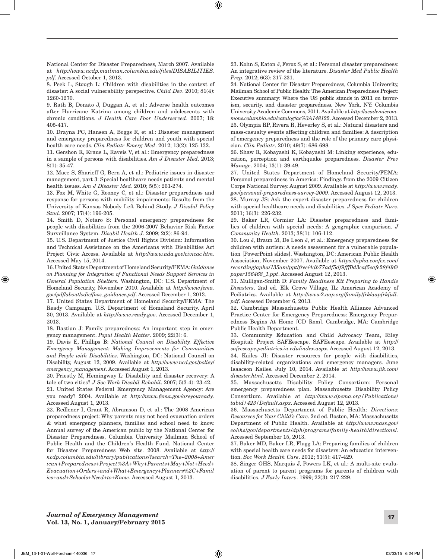National Center for Disaster Preparedness, March 2007. Available at *http:*//*www.ncdp.mailman.columbia.edu*/*files*/*DISABILITIES. pdf*. Accessed October 1, 2013.

 $\textcolor{black}{\textcircled{\footnotesize{1}}}$ 

8. Peek L, Stough L: Children with disabilities in the context of disaster: A social vulnerability perspective. *Child Dev*. 2010; 81(4): 1260-1270.

9. Rath B, Donato J, Duggan A, et al.: Adverse health outcomes after Hurricane Katrina among children and adolescents with chronic conditions. *J Health Care Poor Underserved*. 2007; 18: 405-417.

10. Drayna PC, Hansen A, Boggs R, et al.: Disaster management and emergency preparedness for children and youth with special health care needs. *Clin Pediatr Emerg Med*. 2012; 13(2): 125-132.

11. Gershon R, Kraus L, Raveis V, et al.: Emergency preparedness in a sample of persons with disabilities. *Am J Disaster Med*. 2013; 8(1): 35-47.

12. Mace S, Sharieff G, Bern A, et al.: Pediatric issues in disaster management, part 3: Special healthcare needs patients and mental health issues. *Am J Disaster Med*. 2010; 5(5): 261-274.

13. Fox M, White G, Rooney C, et al.: Disaster preparedness and response for persons with mobility impairments: Results from the University of Kansas Nobody Left Behind Study. *J Disabil Policy Stud*. 2007; 17(4): 196-205.

14. Smith D, Notaro S: Personal emergency preparedness for people with disabilities from the 2006-2007 Behavior Risk Factor Surveillance System. *Disabil Health J*. 2009; 2(2): 86-94.

15. U.S. Department of Justice Civil Rights Division: Information and Technical Assistance on the Americans with Disabilities Act Project Civic Access. Available at *http:*//*www.ada.gov*/*civicac.htm*. Accessed May 15, 2014.

16. United States Department of Homeland Security/FEMA: *Guidance on Planning for Integration of Functional Needs Support Services in General Population Shelters*. Washington, DC: U.S. Department of Homeland Security, November 2010. Available at *http:*//*www.fema. gov*/*pdf*/*about*/*odic*/*fnss\_guidance.pdf*. Accessed December 1, 2013.

17. United States Department of Homeland Security/FEMA: The Ready Campaign. U.S. Department of Homeland Security. April 30, 2013. Available at *http:*//*www.ready.gov*. Accessed December 1, 2013.

18. Bastian J: Family preparedness: An important step in emergency management. *Popul Health Matter*. 2009; 22(3): 6.

19. Davis E, Phillips B: *National Council on Disability. Effective Emergency Management: Making Improvements for Communities and People with Disabilities*. Washington, DC: National Council on Disability, August 12, 2009. Available at *http:*//*www.ncd.gov*/*policy*/ *emergency\_management*. Accessed August 1, 2013.

20. Priestly M, Hemingway L: Disability and disaster recovery: A tale of two cities? *J Soc Work Disabil Rehabil*. 2007; 5(3-4): 23-42.

21. United States Federal Emergency Management Agency: Are you ready? 2004. Available at *http:*//*www.fema.gov*/*areyouready*. Accessed August 1, 2013.

22. Redlener I, Grant R, Abramson D, et al.: The 2008 American preparedness project: Why parents may not heed evacuation orders & what emergency planners, families and school need to know. Annual survey of the American public by the National Center for Disaster Preparedness, Columbia University Mailman School of Public Health and the Children's Health Fund. National Center for Disaster Preparedness Web site. 2008. Available at *http:*// *ncdp.columbia.edu*/*library*/*publications*/*?search=The+2008+Amer ican+Preparedness+Project%3A+Why+Parents+May+Not+Heed+ Evacuation+Orders+and+What+Emergency+Planners%2C+Famil ies+and+Schools+Need+to+Know*. Accessed August 1, 2013.

23. Kohn S, Eaton J, Feroz S, et al.: Personal disaster preparedness: An integrative review of the literature. *Disaster Med Public Health Prep*. 2012; 6(3): 217-231.

24. National Center for Disaster Preparedness, Columbia University, Mailman School of Public Health: The American Preparedness Project: Executive summary: Where the US public stands in 2011 on terrorism, security, and disaster preparedness. New York, NY: Columbia University Academic Commons, 2011. Available at *http:*//*academiccommons.columbia.edu*/*catalog*/*ac%3A148122*. Accessed December 2, 2013. 25. Olympia RP, Rivera R, Heverley S, et al.: Natural disasters and mass-casualty events affecting children and families: A description of emergency preparedness and the role of the primary care physician. *Clin Pediatr*. 2010; 49(7): 686-698.

26. Shaw R, Kobayashi K, Kobayashi M: Linking experience, education, perception and earthquake preparedness. *Disaster Prev Manage*. 2004; 13(1): 39-49.

27. United States Department of Homeland Security/FEMA: Personal preparedness in America: Findings from the 2009 Citizen Corps National Survey. August 2009. Available at *http:*//*www.ready. gov*/*personal-preparedness-survey-2009*. Accessed August 12, 2013. 28. Murray JS: Ask the expert disaster preparedness for children with special healthcare needs and disabilities. *J Spec Pediatr Nurs*. 2011; 16(3): 226-232.

29. Baker LR, Cormier LA: Disaster preparedness and families of children with special needs: A geographic comparison. *J Community Health*. 2013; 38(1): 106-112.

30. Lou J, Braun M, De Leon J, et al.: Emergency preparedness for children with autism: A needs assessment for a vulnerable population [PowerPoint slides]. Washington, DC: American Public Health Association, November 2007. Available at *https:*//*apha.confex.com*/ *recording*/*apha*/*135am*/*ppt*/*free*/*4db77adf5df9fff0d3caf5cafe28f496*/ *paper156468\_1.ppt*. Accessed August 12, 2013.

31. Mulligan-Smith D: *Family Readiness Kit Preparing to Handle Disasters*. 2nd ed. Elk Grove Village, IL: American Academy of Pediatrics. Available at *http:*//*www2.aap.org*/*family*/*frk*/*aapfrkfull. pdf*. Accessed December 6, 2013.

32. Cambridge Massachusetts Public Health Alliance Advanced Practice Center for Emergency Preparedness: Emergency Preparedness Begins At Home [CD Rom]. Cambridge, MA: Cambridge Public Health Department.

33. Community Education and Child Advocacy Team, Riley Hospital: Project SAFEescape. SAFEescape. Available at *http:*// *safeescape.pediatrics.iu.edu*/*index.aspx*. Accessed August 12, 2013. 34. Kailes JI: Disaster resources for people with disabilities,

disability-related organizations and emergency managers. June Isaacson Kailes. July 10, 2014. Available at *http:*//*www.jik.com*/ *disaster.html*. Accessed December 2, 2014.

35. Massachusetts Disability Policy Consortium: Personal emergency preparedness plan. Massachusetts Disability Policy Consortium. Available at *http:*//*www.dpcma.org/Publications*/ *tabid/423/Default.aspx*. Accessed August 12, 2013.

36. Massachusetts Department of Public Health: *Directions: Resources for Your Child's Care*. 2nd ed. Boston, MA: Massachusetts Department of Public Health. Available at *http:*//*www.mass.gov*/ *eohhs*/*gov*/*departments*/*dph*/*programs*/*family-health*/*directions*/. Accessed September 15, 2013.

37. Baker MD, Baker LR, Flagg LA: Preparing families of children with special health care needs for disasters: An education intervention. *Soc Work Health Care*. 2012; 51(5): 417-429.

38. Singer GHS, Marquis J, Powers LK, et al.: A multi-site evaluation of parent to parent programs for parents of children with disabilities. *J Early Interv*. 1999; 22(3): 217-229.

<sup>17</sup> *Journal of Emergency Management* Vol. 13, No. 1, January/February 2015

⊕